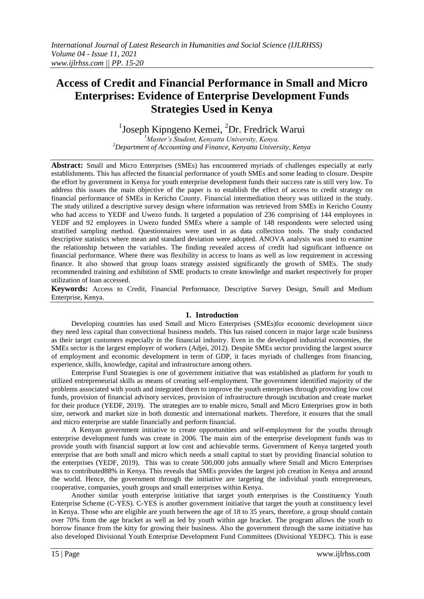# **Access of Credit and Financial Performance in Small and Micro Enterprises: Evidence of Enterprise Development Funds Strategies Used in Kenya**

<sup>1</sup>Joseph Kipngeno Kemei, <sup>2</sup>Dr. Fredrick Warui

*<sup>1</sup>Master's Student, Kenyatta University, Kenya. <sup>2</sup>Department of Accounting and Finance, Kenyatta University, Kenya*

**Abstract:** Small and Micro Enterprises (SMEs) has encountered myriads of challenges especially at early establishments. This has affected the financial performance of youth SMEs and some leading to closure. Despite the effort by government in Kenya for youth enterprise development funds their success rate is still very low. To address this issues the main objective of the paper is to establish the effect of access to credit strategy on financial performance of SMEs in Kericho County. Financial intermediation theory was utilized in the study. The study utilized a descriptive survey design where information was retrieved from SMEs in Kericho County who had access to YEDF and Uwezo funds. It targeted a population of 236 comprising of 144 employees in YEDF and 92 employees in Uwezo funded SMEs where a sample of 148 respondents were selected using stratified sampling method. Questionnaires were used in as data collection tools. The study conducted descriptive statistics where mean and standard deviation were adopted. ANOVA analysis was used to examine the relationship between the variables. The finding revealed access of credit had significant influence on financial performance. Where there was flexibility in access to loans as well as low requirement in accessing finance. It also showed that group loans strategy assisted significantly the growth of SMEs. The study recommended training and exhibition of SME products to create knowledge and market respectively for proper utilization of loan accessed.

**Keywords:** Access to Credit, Financial Performance, Descriptive Survey Design, Small and Medium Enterprise, Kenya.

#### **1. Introduction**

Developing countries has used Small and Micro Enterprises (SMEs)for economic development since they need less capital than convectional business models. This has raised concern in major large scale business as their target customers especially in the financial industry. Even in the developed industrial economies, the SMEs sector is the largest employer of workers (Adjei, 2012). Despite SMEs sector providing the largest source of employment and economic development in term of GDP, it faces myriads of challenges from financing, experience, skills, knowledge, capital and infrastructure among others.

Enterprise Fund Strategies is one of government initiative that was established as platform for youth to utilized entrepreneurial skills as means of creating self-employment. The government identified majority of the problems associated with youth and integrated them to improve the youth enterprises through providing low cost funds, provision of financial advisory services, provision of infrastructure through incubation and create market for their produce (YEDF, 2019). The strategies are to enable micro, Small and Micro Enterprises grow in both size, network and market size in both domestic and international markets. Therefore, it ensures that the small and micro enterprise are stable financially and perform financial.

A Kenyan government initiative to create opportunities and self-employment for the youths through enterprise development funds was create in 2006. The main aim of the enterprise development funds was to provide youth with financial support at low cost and achievable terms. Government of Kenya targeted youth enterprise that are both small and micro which needs a small capital to start by providing financial solution to the enterprises (YEDF, 2019). This was to create 500,000 jobs annually where Small and Micro Enterprises was to contributed88% in Kenya. This reveals that SMEs provides the largest job creation in Kenya and around the world. Hence, the government through the initiative are targeting the individual youth entrepreneurs, cooperative, companies, youth groups and small enterprises within Kenya.

Another similar youth enterprise initiative that target youth enterprises is the Constituency Youth Enterprise Scheme (C-YES). C-YES is another government initiative that target the youth at constituency level in Kenya. Those who are eligible are youth between the age of 18 to 35 years, therefore, a group should contain over 70% from the age bracket as well as led by youth within age bracket. The program allows the youth to borrow finance from the kitty for growing their business. Also the government through the same initiative has also developed Divisional Youth Enterprise Development Fund Committees (Divisional YEDFC). This is ease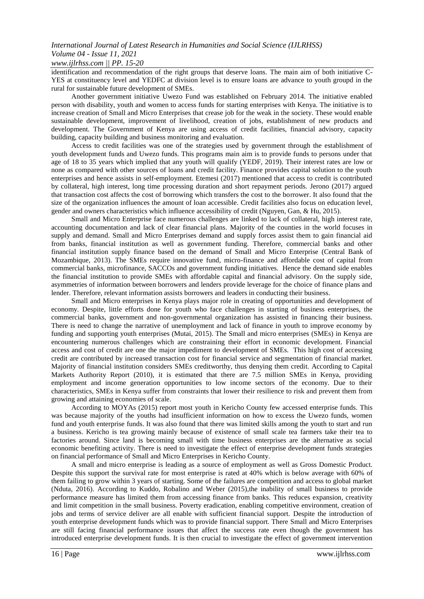## *International Journal of Latest Research in Humanities and Social Science (IJLRHSS) Volume 04 - Issue 11, 2021*

### *www.ijlrhss.com || PP. 15-20*

identification and recommendation of the right groups that deserve loans. The main aim of both initiative C-YES at constituency level and YEDFC at division level is to ensure loans are advance to youth groupd in the rural for sustainable future development of SMEs.

Another government initiative Uwezo Fund was established on February 2014. The initiative enabled person with disability, youth and women to access funds for starting enterprises with Kenya. The initiative is to increase creation of Small and Micro Enterprises that crease job for the weak in the society. These would enable sustainable development, improvement of livelihood, creation of jobs, establishment of new products and development. The Government of Kenya are using access of credit facilities, financial advisory, capacity building, capacity building and business monitoring and evaluation.

Access to credit facilities was one of the strategies used by government through the establishment of youth development funds and Uwezo funds. This programs main aim is to provide funds to persons under that age of 18 to 35 years which implied that any youth will qualify (YEDF, 2019). Their interest rates are low or none as compared with other sources of loans and credit facility. Finance provides capital solution to the youth enterprises and hence assists in self-employment. Etemesi (2017) mentioned that access to credit is contributed by collateral, high interest, long time processing duration and short repayment periods. Jerono (2017) argued that transaction cost affects the cost of borrowing which transfers the cost to the borrower. It also found that the size of the organization influences the amount of loan accessible. Credit facilities also focus on education level, gender and owners characteristics which influence accessibility of credit (Nguyen, Gan, & Hu, 2015).

Small and Micro Enterprise face numerous challenges are linked to lack of collateral, high interest rate, accounting documentation and lack of clear financial plans. Majority of the counties in the world focuses in supply and demand. Small and Micro Enterprises demand and supply forces assist them to gain financial aid from banks, financial institution as well as government funding. Therefore, commercial banks and other financial institution supply finance based on the demand of Small and Micro Enterprise (Central Bank of Mozambique, 2013). The SMEs require innovative fund, micro-finance and affordable cost of capital from commercial banks, microfinance, SACCOs and government funding initiatives. Hence the demand side enables the financial institution to provide SMEs with affordable capital and financial advisory. On the supply side, asymmetries of information between borrowers and lenders provide leverage for the choice of finance plans and lender. Therefore, relevant information assists borrowers and leaders in conducting their business.

Small and Micro enterprises in Kenya plays major role in creating of opportunities and development of economy. Despite, little efforts done for youth who face challenges in starting of business enterprises, the commercial banks, government and non-governmental organization has assisted in financing their business. There is need to change the narrative of unemployment and lack of finance in youth to improve economy by funding and supporting youth enterprises (Mutai, 2015). The Small and micro enterprises (SMEs) in Kenya are encountering numerous challenges which are constraining their effort in economic development. Financial access and cost of credit are one the major impediment to development of SMEs. This high cost of accessing credit are contributed by increased transaction cost for financial service and segmentation of financial market. Majority of financial institution considers SMEs creditworthy, thus denying them credit. According to Capital Markets Authority Report (2010), it is estimated that there are 7.5 million SMEs in Kenya, providing employment and income generation opportunities to low income sectors of the economy. Due to their characteristics, SMEs in Kenya suffer from constraints that lower their resilience to risk and prevent them from growing and attaining economies of scale.

According to MOYAs (2015) report most youth in Kericho County few accessed enterprise funds. This was because majority of the youths had insufficient information on how to excess the Uwezo funds, women fund and youth enterprise funds. It was also found that there was limited skills among the youth to start and run a business. Kericho is tea growing mainly because of existence of small scale tea farmers take their tea to factories around. Since land is becoming small with time business enterprises are the alternative as social economic benefiting activity. There is need to investigate the effect of enterprise development funds strategies on financial performance of Small and Micro Enterprises in Kericho County.

A small and micro enterprise is leading as a source of employment as well as Gross Domestic Product. Despite this support the survival rate for most enterprise is rated at 40% which is below average with 60% of them failing to grow within 3 years of starting. Some of the failures are competition and access to global market (Nduta, 2016). According to Kuddo, Robalino and Weber (2015),the inability of small business to provide performance measure has limited them from accessing finance from banks. This reduces expansion, creativity and limit competition in the small business. Poverty eradication, enabling competitive environment, creation of jobs and terms of service deliver are all enable with sufficient financial support. Despite the introduction of youth enterprise development funds which was to provide financial support. There Small and Micro Enterprises are still facing financial performance issues that affect the success rate even though the government has introduced enterprise development funds. It is then crucial to investigate the effect of government intervention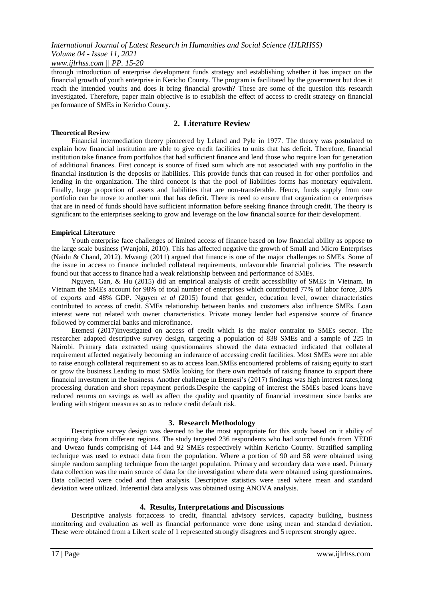# *International Journal of Latest Research in Humanities and Social Science (IJLRHSS) Volume 04 - Issue 11, 2021*

*www.ijlrhss.com || PP. 15-20*

through introduction of enterprise development funds strategy and establishing whether it has impact on the financial growth of youth enterprise in Kericho County. The program is facilitated by the government but does it reach the intended youths and does it bring financial growth? These are some of the question this research investigated. Therefore, paper main objective is to establish the effect of access to credit strategy on financial performance of SMEs in Kericho County.

### **2. Literature Review**

#### **Theoretical Review**

Financial intermediation theory pioneered by Leland and Pyle in 1977. The theory was postulated to explain how financial institution are able to give credit facilities to units that has deficit. Therefore, financial institution take finance from portfolios that had sufficient finance and lend those who require loan for generation of additional finances. First concept is source of fixed sum which are not associated with any portfolio in the financial institution is the deposits or liabilities. This provide funds that can reused in for other portfolios and lending in the organization. The third concept is that the pool of liabilities forms has monetary equivalent. Finally, large proportion of assets and liabilities that are non-transferable. Hence, funds supply from one portfolio can be move to another unit that has deficit. There is need to ensure that organization or enterprises that are in need of funds should have sufficient information before seeking finance through credit. The theory is significant to the enterprises seeking to grow and leverage on the low financial source for their development.

#### **Empirical Literature**

Youth enterprise face challenges of limited access of finance based on low financial ability as oppose to the large scale business (Wanjohi, 2010). This has affected negative the growth of Small and Micro Enterprises (Naidu & Chand, 2012). Mwangi (2011) argued that finance is one of the major challenges to SMEs. Some of the issue in access to finance included collateral requirements, unfavourable financial policies. The research found out that access to finance had a weak relationship between and performance of SMEs.

Nguyen, Gan, & Hu (2015) did an empirical analysis of credit accessibility of SMEs in Vietnam. In Vietnam the SMEs account for 98% of total number of enterprises which contributed 77% of labor force, 20% of exports and 48% GDP. Nguyen *et al* (2015) found that gender, education level, owner characteristics contributed to access of credit. SMEs relationship between banks and customers also influence SMEs. Loan interest were not related with owner characteristics. Private money lender had expensive source of finance followed by commercial banks and microfinance.

Etemesi (2017)investigated on access of credit which is the major contraint to SMEs sector. The researcher adapted descriptive survey design, targeting a population of 838 SMEs and a sample of 225 in Nairobi. Primary data extracted using questionnaires showed the data extracted indicated that collateral requirement affected negatively becoming an inderance of accessing credit facilities. Most SMEs were not able to raise enough collateral requirement so as to access loan.SMEs encountered problems of raising equity to start or grow the business.Leading to most SMEs looking for there own methods of raising finance to support there financial investment in the business. Another challenge in Etemesi's (2017) findings was high interest rates,long processing duration and short repayment periods.Despite the capping of interest the SMEs based loans have reduced returns on savings as well as affect the quality and quantity of financial investment since banks are lending with strigent measures so as to reduce credit default risk.

#### **3. Research Methodology**

Descriptive survey design was deemed to be the most appropriate for this study based on it ability of acquiring data from different regions. The study targeted 236 respondents who had sourced funds from YEDF and Uwezo funds comprising of 144 and 92 SMEs respectively within Kericho County. Stratified sampling technique was used to extract data from the population. Where a portion of 90 and 58 were obtained using simple random sampling technique from the target population. Primary and secondary data were used. Primary data collection was the main source of data for the investigation where data were obtained using questionnaires. Data collected were coded and then analysis. Descriptive statistics were used where mean and standard deviation were utilized. Inferential data analysis was obtained using ANOVA analysis.

#### **4. Results, Interpretations and Discussions**

Descriptive analysis for;access to credit, financial advisory services, capacity building, business monitoring and evaluation as well as financial performance were done using mean and standard deviation. These were obtained from a Likert scale of 1 represented strongly disagrees and 5 represent strongly agree.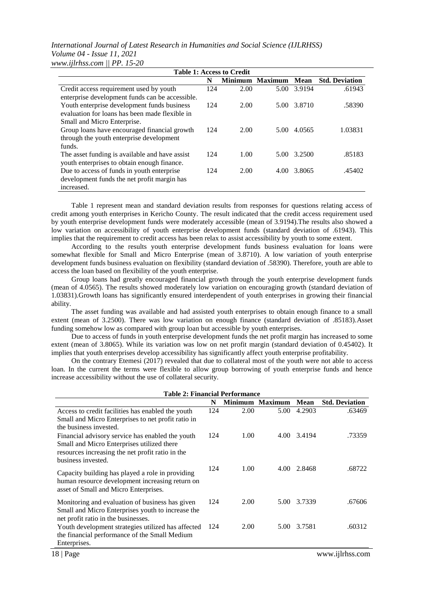*International Journal of Latest Research in Humanities and Social Science (IJLRHSS) Volume 04 - Issue 11, 2021 www.ijlrhss.com || PP. 15-20*

| <b>Table 1: Access to Credit</b>                |     |      |                 |             |                       |  |  |
|-------------------------------------------------|-----|------|-----------------|-------------|-----------------------|--|--|
|                                                 | N   |      | Minimum Maximum | Mean        | <b>Std. Deviation</b> |  |  |
| Credit access requirement used by youth         | 124 | 2.00 |                 | 5.00 3.9194 | .61943                |  |  |
| enterprise development funds can be accessible. |     |      |                 |             |                       |  |  |
| Youth enterprise development funds business     | 124 | 2.00 |                 | 5.00 3.8710 | .58390                |  |  |
| evaluation for loans has been made flexible in  |     |      |                 |             |                       |  |  |
| Small and Micro Enterprise.                     |     |      |                 |             |                       |  |  |
| Group loans have encouraged financial growth    | 124 | 2.00 | 5.00            | 4.0565      | 1.03831               |  |  |
| through the youth enterprise development        |     |      |                 |             |                       |  |  |
| funds.                                          |     |      |                 |             |                       |  |  |
| The asset funding is available and have assist  | 124 | 1.00 |                 | 5.00 3.2500 | .85183                |  |  |
| youth enterprises to obtain enough finance.     |     |      |                 |             |                       |  |  |
| Due to access of funds in youth enterprise      | 124 | 2.00 | 4.00            | 3.8065      | .45402                |  |  |
| development funds the net profit margin has     |     |      |                 |             |                       |  |  |
| increased.                                      |     |      |                 |             |                       |  |  |

Table 1 represent mean and standard deviation results from responses for questions relating access of credit among youth enterprises in Kericho County. The result indicated that the credit access requirement used by youth enterprise development funds were moderately accessible (mean of 3.9194).The results also showed a low variation on accessibility of youth enterprise development funds (standard deviation of .61943). This implies that the requirement to credit access has been relax to assist accessibility by youth to some extent.

According to the results youth enterprise development funds business evaluation for loans were somewhat flexible for Small and Micro Enterprise (mean of 3.8710). A low variation of youth enterprise development funds business evaluation on flexibility (standard deviation of .58390). Therefore, youth are able to access the loan based on flexibility of the youth enterprise.

Group loans had greatly encouraged financial growth through the youth enterprise development funds (mean of 4.0565). The results showed moderately low variation on encouraging growth (standard deviation of 1.03831).Growth loans has significantly ensured interdependent of youth enterprises in growing their financial ability.

The asset funding was available and had assisted youth enterprises to obtain enough finance to a small extent (mean of 3.2500). There was low variation on enough finance (standard deviation of .85183).Asset funding somehow low as compared with group loan but accessible by youth enterprises.

Due to access of funds in youth enterprise development funds the net profit margin has increased to some extent (mean of 3.8065). While its variation was low on net profit margin (standard deviation of 0.45402). It implies that youth enterprises develop accessibility has significantly affect youth enterprise profitability.

On the contrary Etemesi (2017) revealed that due to collateral most of the youth were not able to access loan. In the current the terms were flexible to allow group borrowing of youth enterprise funds and hence increase accessibility without the use of collateral security.

| <b>Table 2: Financial Performance</b>                                                                                                                                    |     |                |                |             |                       |  |
|--------------------------------------------------------------------------------------------------------------------------------------------------------------------------|-----|----------------|----------------|-------------|-----------------------|--|
|                                                                                                                                                                          | N   | <b>Minimum</b> | <b>Maximum</b> | <b>Mean</b> | <b>Std. Deviation</b> |  |
| Access to credit facilities has enabled the youth<br>Small and Micro Enterprises to net profit ratio in<br>the business invested.                                        | 124 | 2.00           | 5.00           | 4.2903      | .63469                |  |
| Financial advisory service has enabled the youth<br>Small and Micro Enterprises utilized there<br>resources increasing the net profit ratio in the<br>business invested. | 124 | 1.00           |                | 4.00 3.4194 | .73359                |  |
| Capacity building has played a role in providing<br>human resource development increasing return on<br>asset of Small and Micro Enterprises.                             | 124 | 1.00           | 4.00           | 2.8468      | .68722                |  |
| Monitoring and evaluation of business has given<br>Small and Micro Enterprises youth to increase the<br>net profit ratio in the businesses.                              | 124 | 2.00           | 5.00           | 3.7339      | .67606                |  |
| Youth development strategies utilized has affected<br>the financial performance of the Small Medium<br>Enterprises.                                                      | 124 | 2.00           | 5.00           | 3.7581      | .60312                |  |
| 18   Page                                                                                                                                                                |     |                |                |             | www.ijlrhss.com       |  |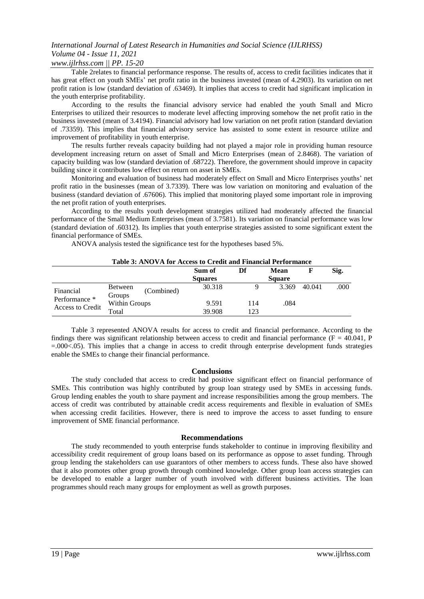# *International Journal of Latest Research in Humanities and Social Science (IJLRHSS) Volume 04 - Issue 11, 2021*

### *www.ijlrhss.com || PP. 15-20*

Table 2relates to financial performance response. The results of, access to credit facilities indicates that it has great effect on youth SMEs' net profit ratio in the business invested (mean of 4.2903). Its variation on net profit ration is low (standard deviation of .63469). It implies that access to credit had significant implication in the youth enterprise profitability.

According to the results the financial advisory service had enabled the youth Small and Micro Enterprises to utilized their resources to moderate level affecting improving somehow the net profit ratio in the business invested (mean of 3.4194). Financial advisory had low variation on net profit ration (standard deviation of .73359). This implies that financial advisory service has assisted to some extent in resource utilize and improvement of profitability in youth enterprise.

The results further reveals capacity building had not played a major role in providing human resource development increasing return on asset of Small and Micro Enterprises (mean of 2.8468). The variation of capacity building was low (standard deviation of .68722). Therefore, the government should improve in capacity building since it contributes low effect on return on asset in SMEs.

Monitoring and evaluation of business had moderately effect on Small and Micro Enterprises youths' net profit ratio in the businesses (mean of 3.7339). There was low variation on monitoring and evaluation of the business (standard deviation of .67606). This implied that monitoring played some important role in improving the net profit ration of youth enterprises.

According to the results youth development strategies utilized had moderately affected the financial performance of the Small Medium Enterprises (mean of 3.7581). Its variation on financial performance was low (standard deviation of .60312). Its implies that youth enterprise strategies assisted to some significant extent the financial performance of SMEs.

ANOVA analysis tested the significance test for the hypotheses based 5%.

#### **Table 3: ANOVA for Access to Credit and Financial Performance**

|                                                       |                                        | Sum of         | Df  | <b>Mean</b>   |        | Sig. |
|-------------------------------------------------------|----------------------------------------|----------------|-----|---------------|--------|------|
|                                                       |                                        | <b>Squares</b> |     | <b>Square</b> |        |      |
| Financial<br>Performance *<br><b>Access to Credit</b> | <b>Between</b><br>(Combined)<br>Groups | 30.318         |     | 3.369         | 40.041 | .000 |
|                                                       | Within Groups                          | 9.591          | 114 | .084          |        |      |
|                                                       | Total                                  | 39.908         | 123 |               |        |      |

Table 3 represented ANOVA results for access to credit and financial performance. According to the findings there was significant relationship between access to credit and financial performance ( $F = 40.041$ , P =.000<.05). This implies that a change in access to credit through enterprise development funds strategies enable the SMEs to change their financial performance.

#### **Conclusions**

The study concluded that access to credit had positive significant effect on financial performance of SMEs. This contribution was highly contributed by group loan strategy used by SMEs in accessing funds. Group lending enables the youth to share payment and increase responsibilities among the group members. The access of credit was contributed by attainable credit access requirements and flexible in evaluation of SMEs when accessing credit facilities. However, there is need to improve the access to asset funding to ensure improvement of SME financial performance.

#### **Recommendations**

The study recommended to youth enterprise funds stakeholder to continue in improving flexibility and accessibility credit requirement of group loans based on its performance as oppose to asset funding. Through group lending the stakeholders can use guarantors of other members to access funds. These also have showed that it also promotes other group growth through combined knowledge. Other group loan access strategies can be developed to enable a larger number of youth involved with different business activities. The loan programmes should reach many groups for employment as well as growth purposes.